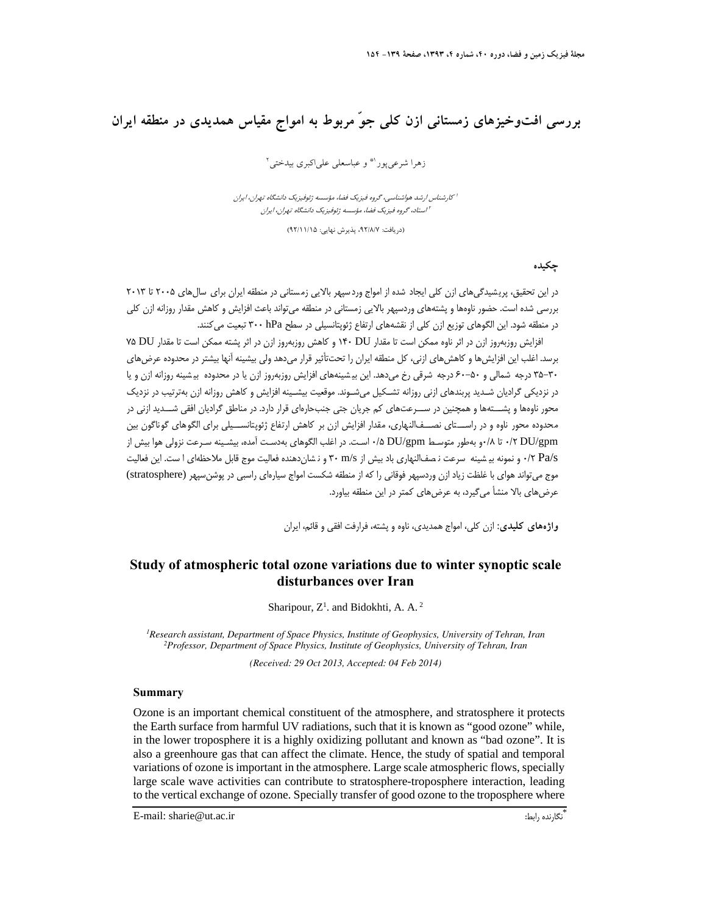# **بررسي افتوخيزهاي زمستاني ازن كلي جوّ مربوط به امواج مقياس همديدي در منطقه ايران**

ذهرا شرعي يور <sup>4\*</sup> و عباسعلي علي|كبري بيدختي<sup>٢</sup>

كارشناس ارشد هواشناسي، گروه فيزيك فضا، مؤسسه ژئوفيزيك دانشگاه تهران، ايران <sup>1</sup> استاد، گروه فيزيك فضا، مؤسسه ژئوفيزيك دانشگاه تهران، ايران<sup>2</sup>

(دريافت: ۹۲/۸/۷، پذيرش نهايي: ۹۲/۱۱/۱۵)

**چكيده** 

در اين تحقيق، پريشيدگيهاي ازن كلي ايجاد شده از امواج وردسپهر بالايي زمستاني در منطقه ايران براي سالهاي ۲۰۰۵ تا ۲۰۱۳ بررسي شده است. حضور ناوهها و پشتههاي وردسپهر بالايي زمستاني در منطقه ميتواند باعث افزايش و كاهش مقدار روزانه ازن كلي در منطقه شود. اين الگوهاي توزيع ازن كلي از نقشههاي ارتفاع ژئوپتانسيلي در سطح hPa 300 تبعيت ميكنند.

افزايش روزبهروز ازن در اثر ناوه ممكن است تا مقدار DU 140 و كاهش روزبهروز ازن در اثر پشته ممكن است تا مقدار DU 75 برسد. اغلب اين افزايشها و كاهشهاي ازني، كل منطقه ايران را تحتتأثير قرار ميدهد ولي بيشينه آنها بيشتر در محدوده عرضهاي 35-30 درجه شمالي و 60-50 درجه شرقي رخ ميدهد. اين بي شينههاي افزايش روزبهروز ازن يا در محدوده بي شينه روزانه ازن و يا در نزديكي گراديان شـديد پربندهاي ازني روزانه تشـكيل ميشـوند. موقعيت بيشـينه افزايش و كاهش روزانه ازن بهترتيب در نزديك محور ناوهها و پشـــتهها و همچنين در ســـرعتهاي كم جريان جتي جنبحارهاي قرار دارد. در مناطق گراديان افقي شـــديد ازني در م حدوده محور ناوه و در راســـتاي نصـــفالنهاري، مقدار افزايش ازن بر كاهش ارتفاع ژئوپتانســـيلي براي الگوهاي گوناگون بين gpm/DU 0/2 تا 0/8و بهطور متوسـط gpm/DU 0/5 اسـت. در اغلب الگوهاي بهدسـت آمده، بيشـينه سـرعت نزولي هوا بيش از s/Pa 0/2 و نمونه بي شينه سرعت ن صفالنهاري باد بيش از s/m 30 و ن شاندهنده فعاليت موج قابل ملاحظهاي ا ست. اين فعاليت موج ميتواند هواي با غلظت زياد ازن وردسپهر فوقاني را كه از منطقه شكست امواج سيارهاي راسبي در پوشنسپهر (stratosphere( عرضهاي بالا منشأ ميگيرد، به عرضهاي كمتر در اين منطقه بياورد.

**واژههاي كليدي:** ازن كلي، امواج همديدي، ناوه و پشته، فرارفت افقي و قائم، ايران

## **Study of atmospheric total ozone variations due to winter synoptic scale disturbances over Iran**

Sharipour,  $Z^1$ . and Bidokhti, A. A.<sup>2</sup>

<sup>1</sup>Research assistant, Department of Space Physics, Institute of Geophysics, University of Tehran, Iran *Research assistant, Department of Space Physics, Institute of Geophysics, University of Tehran, Iran 2Professor, Department of Space Physics, Institute of Geophysics, University of Tehran, Iran* 

*(Received: 29 Oct 2013, Accepted: 04 Feb 2014)*

#### **Summary**

Ozone is an important chemical constituent of the atmosphere, and stratosphere it protects the Earth surface from harmful UV radiations, such that it is known as "good ozone" while, in the lower troposphere it is a highly oxidizing pollutant and known as "bad ozone". It is also a greenhoure gas that can affect the climate. Hence, the study of spatial and temporal variations of ozone is important in the atmosphere. Large scale atmospheric flows, specially large scale wave activities can contribute to stratosphere-troposphere interaction, leading to the vertical exchange of ozone. Specially transfer of good ozone to the troposphere where

\* E-mail: sharie@ut.ac.ir : أنَّكارنده رابط: "E-mail: sharie@ut.ac.ir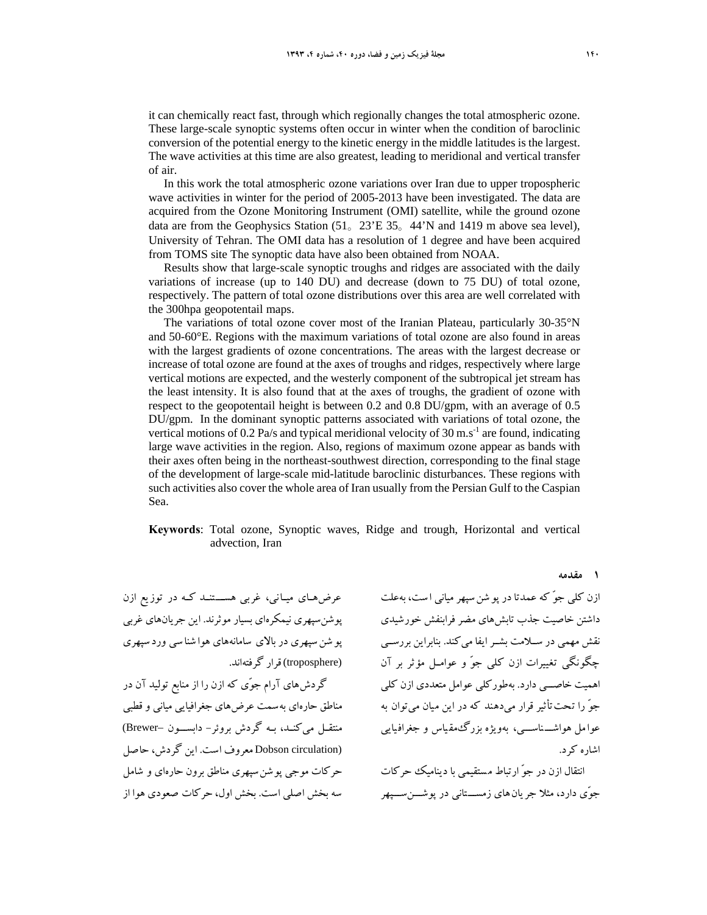it can chemically react fast, through which regionally changes the total atmospheric ozone. These large-scale synoptic systems often occur in winter when the condition of baroclinic conversion of the potential energy to the kinetic energy in the middle latitudes is the largest. The wave activities at this time are also greatest, leading to meridional and vertical transfer of air.

In this work the total atmospheric ozone variations over Iran due to upper tropospheric wave activities in winter for the period of 2005-2013 have been investigated. The data are acquired from the Ozone Monitoring Instrument (OMI) satellite, while the ground ozone data are from the Geophysics Station (51。23'E 35。44'N and 1419 m above sea level), University of Tehran. The OMI data has a resolution of 1 degree and have been acquired from TOMS site The synoptic data have also been obtained from NOAA.

Results show that large-scale synoptic troughs and ridges are associated with the daily variations of increase (up to 140 DU) and decrease (down to 75 DU) of total ozone, respectively. The pattern of total ozone distributions over this area are well correlated with the 300hpa geopotentail maps.

The variations of total ozone cover most of the Iranian Plateau, particularly 30-35°N and 50-60°E. Regions with the maximum variations of total ozone are also found in areas with the largest gradients of ozone concentrations. The areas with the largest decrease or increase of total ozone are found at the axes of troughs and ridges, respectively where large vertical motions are expected, and the westerly component of the subtropical jet stream has the least intensity. It is also found that at the axes of troughs, the gradient of ozone with respect to the geopotentail height is between 0.2 and 0.8 DU/gpm, with an average of 0.5 DU/gpm. In the dominant synoptic patterns associated with variations of total ozone, the vertical motions of 0.2 Pa/s and typical meridional velocity of 30 m.s<sup>-1</sup> are found, indicating large wave activities in the region. Also, regions of maximum ozone appear as bands with their axes often being in the northeast-southwest direction, corresponding to the final stage of the development of large-scale mid-latitude baroclinic disturbances. These regions with such activities also cover the whole area of Iran usually from the Persian Gulf to the Caspian Sea.

#### **Keywords**: Total ozone, Synoptic waves, Ridge and trough, Horizontal and vertical advection, Iran

عرضهــاي ميــاني، غربي هســـتنــد كــه در توزيع ازن پوشنسپهري نيمكرهاي بسيار موثرند. اين جريانهاي غربي پو شنسپهري در بالاي سامانههاي هوا شناسي ورد سپهري (troposphere (قرار گرفتهاند.

گردشهاي آرام جوّي كه ازن را از منابع توليد آن در مناطق حارهاي بهسمت عرضهاي جغرافيايي مياني و قطبي منتقـل ميكنــد، بـه گردش بروئر- دابســـون –Brewer( (circulation Dobson معروف است. اين گردش، حاصل حركات موجي پوشنسپهري مناطق برون حارهاي و شامل سه بخش اصلي است. بخش اول، حركات صعودي هوا از ازن كلي جوّ كه عمدتادر پو شنسپهر مياني ا ست، بهعلت داشتن خاصيت جذب تابشهاي مضر فرابنفش خورشيدي نقش مهمي در ســلامت بشــر ايفا ميكند. بنابراين بررســي چگونگي تغييرات ازن كلي جوّ و عوامــل مؤثر بر آن اهميت خاصـــي دارد. بهطوركلي عوامل متعددي ازن كلي جوّ را تحتتأثير قرار ميدهند كه در اين ميان ميتوان به عوا مل هواشــــناســــي، بهويژه بزرگءمقياس و جغرافيايي اشاره كرد.

انتقال ازن در جوّ ارتباط مستقيمي با ديناميك حركات جوّي دارد، مثلا جريانهاي زمســـتاني در پوشـــنســـپهر

**1 مقدمه**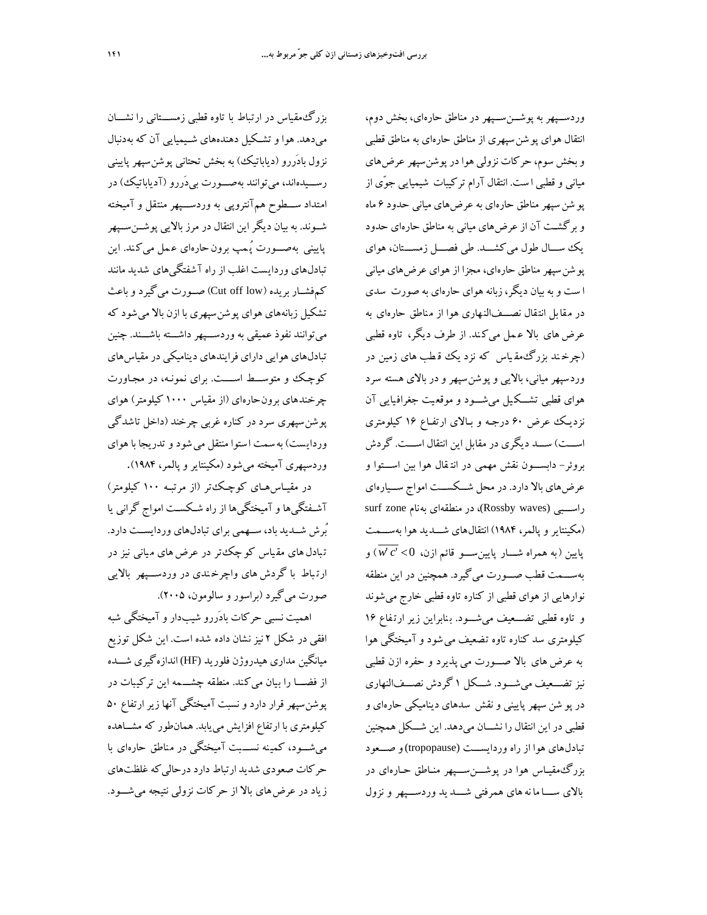بزرگمقياس در ارتباط با تاوه قطبي زمســـتاني را نشـــان ميدهد. هوا وتشــكيل دهندههاي شــيميايي آن كه بهدنبال نزول بادَررو (دياباتيك) به بخش تحتاني پوشنسپهر پاييني رســـيدهاند، ميتوانند بهصـــورت بيدَررو (آدياباتيك) در امتداد ســـطوح همآنتروپي به وردســـپهر منتقل و آميخته شــوند. به بيان ديگراين انتقال در مرز بالايي پوشــنســپهر پاييني بهصــورت پُـمپ برون حارهاي عـمل ميكند. اين تبادلهاي وردايست اغلب از راه آشفتگيهاي شديد مانند كمفشــار بريده (low off Cut (صــورت ميگيرد وباعث تشكيل زبانههاي هواي پوشنسپهري با ازن بالا ميشود كه ميتوانند نفوذ عميقي به وردســـپهر داشـــته باشـــند. چنين تبادلهاي هوايي داراي فرايندهاي ديناميكي درمقياسهاي كوچـك و متوســـط اســــت. براي نمونـه، در مجـاورت چرخندهاي برونحارهاي (از مقياس 1000 كيلومتر) هواي پوشنسپهري سرد در كناره غربي چرخند (داخل تاشدگي وردايست) بهسمت ا ستوا منتقل ميشود وتدريجا با هواي وردسپهري آميخته ميشود (مكينتاير وپالمر، 1984).

در مقيـاسهـاي كوچـكتر (از مرتبـه 100 كيلومتر) آشـفتگيها وآميختگيها از راه شـكســت امواج گراني يا ُبرش شــديد باد، ســهمي براي تبادلهاي وردايســت دارد. تبادل های مقیاس كو چك تر در عرض های میانی نیز در ارت باط با گردش هاي واچرخ ندي در وردســـپهر بالايي صورت ميگيرد (براسور و سالومون، 2005).

اهميت نسبي حركات بادَررو شيبدار وآميختگي شبه افقي در شكل 2 نيزنشان داده شده است. اين شكل توزيع ميانگين مداري هيدروژن فلوريد (HF (اندازهگيري شـــده از فضــــا را بيان ميكند. منطقه چشـــمه اين تركيبات در پوشنسپهر قرار دارد ونسبت آميختگي آنها زير ارتفاع 50 كيلومتري با ارتفاع افزايش مييابد. همانطور كه مشــاهده ميشـــود، كمي نه نســـبت آميختگي در مناطق حارهاي با حركات صعودي شديد ارتباط دارددرحاليكه غلظتهاي زياد در عرضهاي بالا از حركات نزولي نتيجه ميشـــود.

وردســپهر به پوشــنســپهر در مناطق حارهاي، بخش دوم، انتقال هواي پوشنسپهري از مناطق حارهاي به مناطق قطبي وبخش سوم، حركات نزولي هوادرپوشنسپهر عرضهاي مياني و قطبي ا ست. انتقال آرام تركيبات شيميايي جوّي از پو شنسپهر مناطق حارهاي به عرضهاي مياني حدود 6 ماه وبرگشـت آن از عرضهاي مياني به مناطق حارهاي حدود يك ســـال طول ميكشـــد. طي فصـــل زمســـتان، هواي پوشنسپهر مناطق حارهاي، مجزا از هواي عرضهاي مياني ا ست وبه بيان ديگر،زبانه هواي حارهاي به صورت سدي در مقابل انت قال نصـــفالنهاري هوا از مناطق حارهاي به عرض هاي بالا عـمل ميكند. از طرف ديگر، تاوه قطبي (چرخ ند بزرگمق ياس كه نزد يك ق طب هاي زمين در وردسپهرمياني، بالايي وپوشنسپهر ودر بالاي هسته سرد هواي قطبي تشـــك يل ميشـــود و موقع يت جغراف يايي آن نزديـك عرض 60 درجـه و بـالاي ارتفـاع 16 كيلومتري اســـت) ســـد ديگري در مقابل اين انتقال اســـت. گردش بروئر- دابســـون نقش مهمي در انت قال هوا بين اســـتوا و عرضهاي بالا دارد. در محل شـــكســـت امواج ســـيارهاي راســبي (Rossby waves)، در منطقهاي بهنام surf zone (مكينتاير و پالمر، 1984) انتقالهاي شـــديد هوا بهســـمت پايين (به همراه شـــار پايينســـو قائم ازن، 0'' *c w* (و بهســـمت قطب صـــورت ميگيرد. همچنين در اين منطقه نوارهايي از هواي قطبي از كناره تاوه قطبي خارج ميشوند و تاوه قطبي تضـــعيف ميشـــود. ب نابراين زير ارت فاع 16 كيلومتري سد كناره تاوه تضعيف ميشود وآميختگي هوا به عرضهاي بالا صـــورت مي پذيرد و حفره ازن قطبي نيز تضـــعيف ميشـــود. شـــكل 1 گردش نصـــفالنهاري در پو شن سپهر پاييني و نقش سدهاي ديناميكي حارهاي و قطبي در اين انتقال را نشـــان ميدهد. اين شـــكل همچنين تبادلهاي هوا از راه وردايســـت (tropopause(و صـــعود بزرگمقيـاس هوا در پوشـــنســـپهر منـاطق حـارهاي در بالاي ســـا ما نههاي همرفتي شــــد يد وردســـپهر و نزول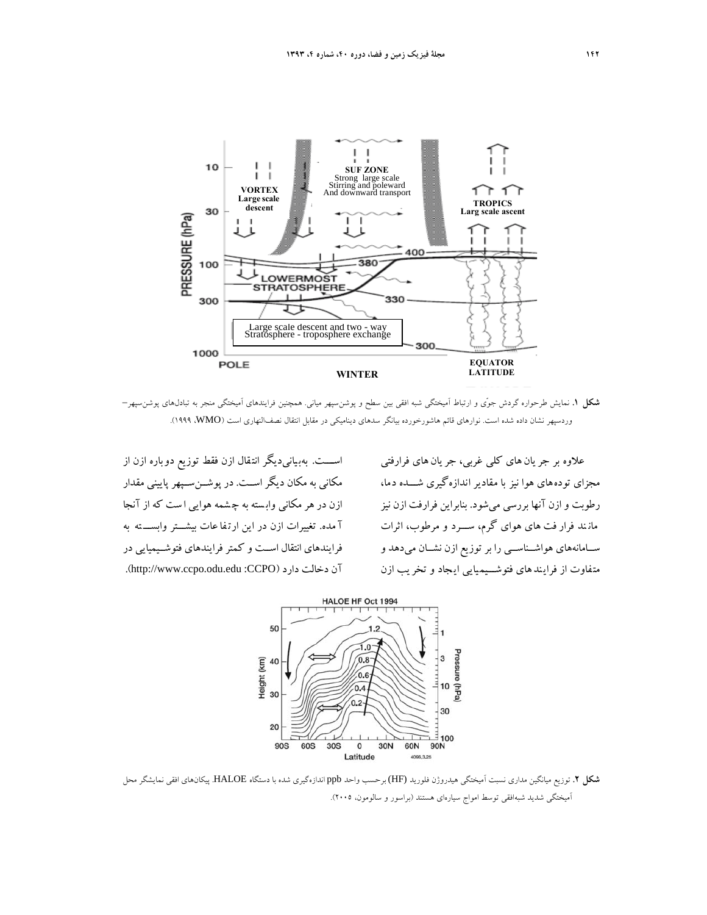

**شكل .1** نمايش طرحواره گردش جوّي و ارتباط آميختگي شبه افقي بين سطح و پوشنسپهر مياني. همچنين فرايندهاي آميختگي منجر به تبادلهاي پوشنسپهر– وردسپهر نشان داده شده است. نوارهاي قائم هاشورخورده بيانگر سدهاي ديناميكي در مقابل انتقال نصفالنهاري است (WMO، 1999(.

اســـت. بهب يانيديگر انت قال ازن فقط توزيع دو باره ازن از مكاني به مكان ديگراســت. در پوشــنســپهر پاييني مقدار ازن در هر مكاني وابسته به چشمه هوايي است كه از آنجا آ مده. تغييرات ازن در اين ارت فا عات بيشـــتر وابســـ ته به فرايندهاي انتقال اســت و كمتر فرايندهاي فتوشــيميايي در .(http://www.ccpo.odu.edu :CCPO) دارد دخالت آن

علاوه بر جر يان هاي كلي غربي، جر يان هاي فرارفتي مجزاي تودههاي هوا نيز با مقادير اندازهگيري شـــده دما، رطوبت و ازن آنها بررسي ميشود. بنابراين فرارفت ازن نيز مان ند فرار فت هاي هواي گرم، ســـرد و مرطوب، اثرات ســامانههاي هواشــناســي را بر توزيع ازن نشــان ميدهد و مت فاوت از فرايندهاي فتوشـــيميايي اي جاد و تخر يب ازن



**شكل .2** توزيع ميانگين مداري نسبت آميختگي هيدروژن فلوريد (HF (برحسب واحد ppb اندازهگيري شده با دستگاه HALOE. پيكانهاي افقي نمايشگر محل آميختگي شديد شبهافقي توسط امواج سيارهاي هستند (براسور و سالومون، 2005).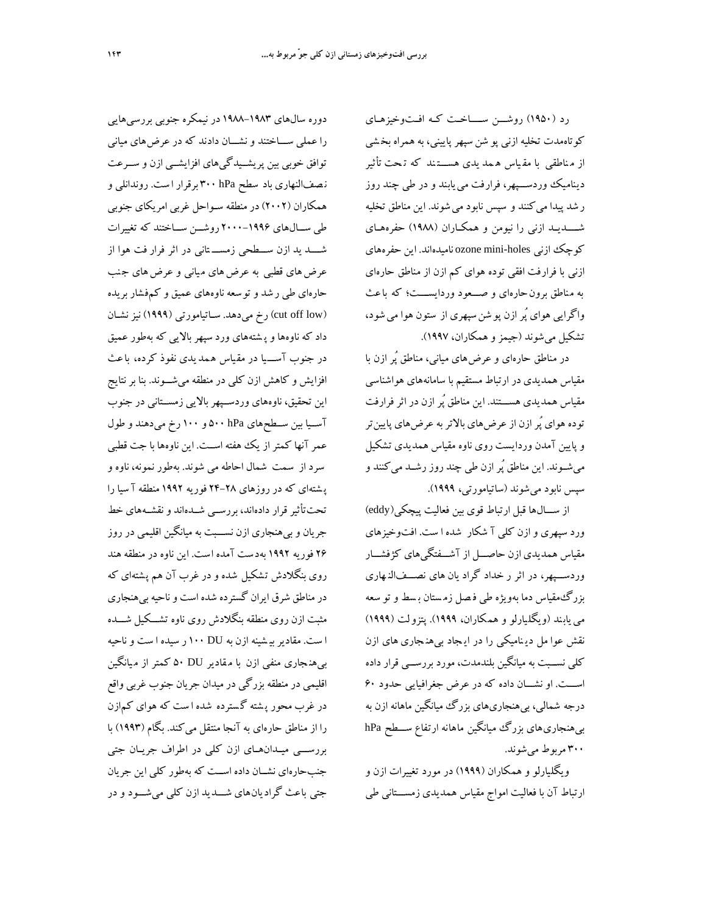رد (1950) روشـــن ســــاخــت كــه افــتوخيزهــاي كوتاهمدت تخليه ازني پو شن سپهر پاييني، به همراه بخ شي از م ناطقي با مق ياس ه مد يدي هســـت ند كه ت حت تأثير ديناميك وردســـپهر، فرارفت مييابند و در طي چند روز ر شد پيدا مي كنند و سپس نابود مي شوند. اين مناطق تخليه شــــديـد ازني را نيومن و همكـاران (1988) حفرههـاي كوچك ازني holes-mini ozone ناميدهاند. اين حفرههاي ازني با فرارفت افقي توده هواي كم ازن از مناطق حارهاي به مناطق برونحارهاي و صـــعود وردايســـت؛ كه باعث واگرايي هواي پُر ازن پو شنسپهري از ستون هوا ميشود، تشكيل ميشوند (جيمز وهمكاران، 1997).

در مناطق حارهاي و عرضهاي مياني، مناطق پُر ازن با مقياس همديدي در ارتباط مستقيم با سامانههاي هواشناسي مقياس همديدي هســـتند. اين مناطق پُر ازن در اثر فرارفت توده هواي پُرازن از عرضهاي بالاتربه عرضهاي پايينتر وپايين آمدن وردايست روي ناوه مقياس همديدي تشكيل ميشــوند. اين مناطق پُر ازن طي چند روز رشــد ميكنند و سپس نابود ميشوند (ساتيامورتي، 1999).

از ســـالها قبل ارتباط قوي بين فعاليت پيچكي(eddy ( ورد سپهري و ازن كلي آ شكار شده ا ست. افتوخيزهاي مقياس همديدي ازن حاصـــل از آشـــفتگيهاي كژفشـــار وردســـپهر، در اثر ر خداد گراد يان هاي نصـــفالن هاري بزرگمقياس دما بهويژه طي ف صل زم ستان ب سط وتو سعه مي يابند (ويگليارلو و همكاران، ۱۹۹۹). پتزولت (۱۹۹۹) نقش عوا مل دي ناميكي را در اي جاد بيهن جاري هاي ازن كلي نســبت به ميانگين بلندمدت، مورد بررســي قرار داده اســـت. او نشـــان داده كه در عرض جغرافيايي حدود 60 درجه شمالي، بيهنجاريهاي بزرگ ميانگين ماهانه ازن به بيهنجاريهاي بزرگ ميانگين ماهانه ارتفاع ســـطح hPa 300 مربوط ميشوند.

ويگليارلو و همكاران (1999) در مورد تغييرات ازن و ارتباط آن با فعاليت امواج مقياس همديدي زمســـتاني طي

دوره سالهاي 1988-1983 در نيمكره جنوبي بررسيهايي را عملي ســـاختند و نشـــان دادند كه در عرضهاي مياني توافق خوبي بين پريشــيدگيهاي افزايشــي ازن و ســرعت ن صفالنهاري باد سطح hPa 300 برقرار ا ست. روندانلي و همكاران (2002) در منطقه سـواحل غربي امريكاي جنوبي طي ســالهاي 2000-1996 روشــن ســاختند كه تغييرات شــــد يد ازن ســـطحي زمســـ تاني در اثر فرار فت هوا از عرض هاي قطبي به عرض هاي مياني و عرض هاي جنب حارهاي طي رشد وتوسعه ناوههاي عميق و كمفشار بريده (low off cut (رخ ميدهد. سـاتيامورتي (1999) نيزنشـان داد كه ناوهها وپ شتههاي ورد سپهربالايي كه بهطور عميق در جنوب آســـيا در مق ياس ه مديدي نفوذ كرده، باعث افزايش و كاهش ازن كلي در منطقه ميشـــوند. بنا برنتايج اين تحقيق، ناوههاي وردســپهر بالايي زمســتاني در جنوب آســيا بين ســطحهاي hPa 500 و 100 رخ ميدهند و طول عمرآنها كمتر از يك هفته اســت. اين ناوهها با جت قطبي سرد از سمت شمال احاطه مي شوند. بهطور نمونه، ناوه و پ شتهاي كه در روزهاي 24-28 فوريه 1992 منطقه آ سيا را تحتتأثير قرار دادهاند، بررســي شــدهاند ونقشــههاي خط جريان وبيهنجاري ازن نســـبت به ميانگين اقليمي در روز 26 فوريه 1992 بهدست آمده است. اين ناوه در منطقه هند روي بنگلادش تشكيل شده و در غرب آن هم پشتهاي كه درمناطق شرق ايران گسترده شده است وناحيه بيهنجاري مثبت ازن روي منطقه بنگلادش روي ناوه تشـــكيل شـــده ا ست. مقاديربي شينه ازن به DU 100 ر سيده ا ست وناحيه بيهن جاري منفي ازن با م قادير DU 50 كمتر از م يانگين اقليمي در منطقه بزرگي درميدان جريان جنوب غربي واقع در غرب محور پ شته گ سترده شده ا ست كه هواي كمازن را از مناطق حارهاي به آنجا منتقل ميكند. بگام ( 1993)با بررســـي ميــدان هــاي ازن كلي در اطراف جريــان جتي جنب حارهاي نشــان داده اســت كه به طور كلي اين جريان جتي باعث گراديانهاي شـــديد ازن كلي ميشـــود و در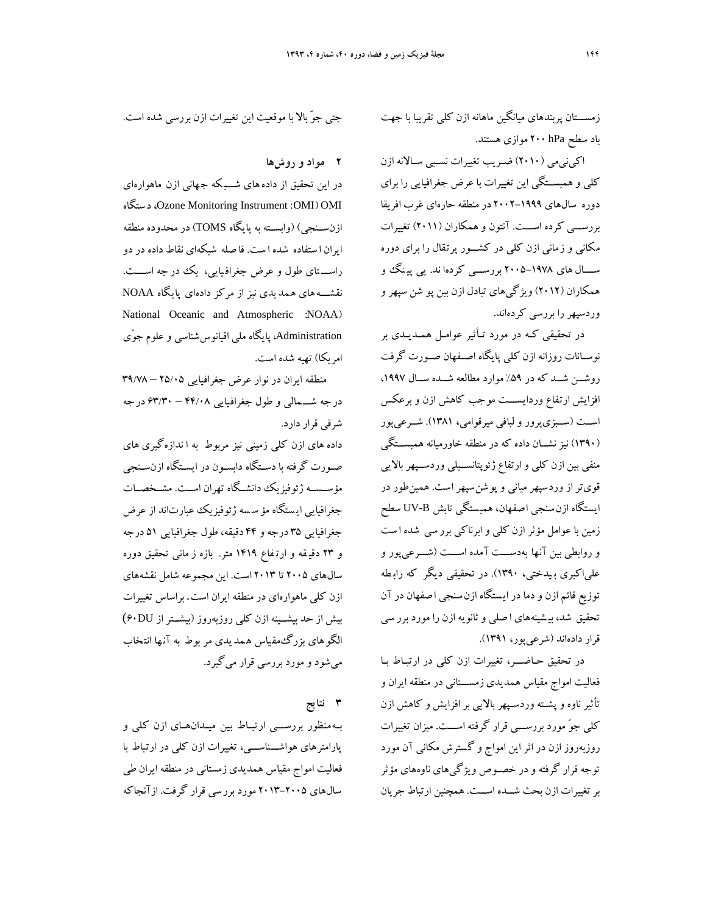زمســـتان پربندهاي ميانگين ماهانه ازن كلي تقريبا با جهت باد سطح hPa 200 موازي هستند.

 اكي نيمي ( 2010) ضـريب تغييرات نسـبي سـالانه ازن كلي وهمبســتگي اين تغييرات با عرض جغرافيايي را براي دوره سالهاي -1999 2002 در منطقه حارهاي غرب افريقا بررســـي كرده اســـت. آنتون و همكاران ( 2011) تغييرات مكاني و زماني ازن كلي در كشـــور پرتقال را بر اي دوره ســــال هاي ۱۹۷۸–۲۰۰۵ بررســـي كردها ند. يي پينگئ و همكاران ( 2012 ) ويژگيهاي تبادل ازن بين پو شن سپهر و وردسپهر را بررسي كردهاند .

در تحقيقي كـه در مورد تـأثير عوامـل همـديـدي بر نوســانات روزانه ازن كلي پايگاه اصــفهان صــورت گرفت روشــن شــد كه در %59 موارد مطالعه شــده ســال ،1997 افزايش ارتفاع وردايســـت موجب كاهش ازن و برعكس اســت (ســبزيپرور ولبافي ميرقوامي، 1381). شــرعيپور (1390) نيز نشــان داده كه در منطقه خاورميانه همبســتگي منفي بين ازن كلي و ارتفاع ژئوپتانســيلي وردســپهر بالايي قويتراز وردسپهرمياني وپوشنسپهر است. همين طور در ايستگاه ازن سنجي اصفهان، همبستگي تابش B-UV سطح زمين با عوامل مؤثر ازن كلي و ابرناكي برر سي شده ا ست و روابطي بين آنها به دســـت آمده اســـت ( شـــرعي پور و علياكبري ب يدختي، 1390). در تحقيقي ديگر كه راب طه توزيع قائم ازن و دما در ايستگاه ازن سنجي ا صفهان در آن تحقيق شد، بيشينههاي ا صلي و ثانويه ازن را مورد برر سي قرار داده اند ( شرعي پور، 1391 ).

در تحقيق حـاضـــر، تغييرات ازن كلي در ارتبـاط بـا فعاليت امواج مقياس همديدي زمســـتاني در منطقه ايران و تأثير ناوه و پشـته وردسـپهر بالايي برافزايش و كاهش ازن كلي جوّ مورد بررســـي قرار گرفته اســـت. ميزان تغييرات روزبهروز ازن در اثراين امواج و گسترش مكاني آن مورد توجه قرار گرفته و در خصـوص ويژگيهاي ناوههاي مؤثر برتغييرات ازن بحث شـــده اســـت. همچنين ارتباط جريان

جتي جوّ بالا با موقعيت اين تغييرات ازن بررسي شده است.

### **2 مواد و روشها**

در اين تحقيق از دادههاي شـــب كه ج هاني ازن ماهوارهاي ستگاه د ،Ozone Monitoring Instrument :OMI) OMI ازنســنجي) (وابســته به پايگاه TOMS (در محدوده منطقه ايران ا ستفاده شده ا ست. فا صله شبكهاي نقاط داده در دو راســـ تاي طول و عرض جغراف يايي، يك در جه اســــت. نقشـــههاي ه مديدي نيز از مركز دادهاي پايگاه NOAA National Oceanic and Atmospheric :NOAA) Administration، پايگاه ملي اقيانوسشناسي وعلوم جوّي امريكا) تهيه شده است.

منطقه ايران در نوار عرض جغرافيايي 25/05 – 39/78 در جه شـــمالي و طول جغرافيايي 44/08 – 63/30 در جه شرقي قرار دارد.

داده هاي ازن كلي زميني نيز مربوط به ا ندازهگيري هاي صـورت گرفته با دسـتگاه دابسـون در ايسـتگاه ازنسـنجي مؤســســه ژئوفيزيك دانشــگاه تهران اســت. مشــخصــات جغرافيايي ايستگاه مؤ سسه ژئوفيزيك عبارتاند از عرض جغرافيايي 35 درجه و 44 دقيقه، طول جغرافيايي 51 درجه و 23 دقي قه و ارت فاع 1419 متر. بازه ز ماني تحقيق دوره سالهاي 2005 تا 2013 است. اين مجموعه شامل نقشههاي ازن كلي ماهوارهاي در منطقه ايران است. براساس تغييرات بيش از حد بيشــينه ازن كلي روزبهروز (بيشــتر از DU60( الگوهاي بزرگ مقياس همديدي مر بوط به آنها انتخاب ميشود ومورد بررسي قرار ميگيرد.

## **3 نتايج**

بــهمنظور بررســـي ارتبــاط بين ميــدانهــاي ازن كلي و پارامترهاي هواشـــناســـي، تغييرات ازن كلي در ارتباط با فعاليت امواج مقياس همديدي زمستاني در منطقه ايران طي سالهاي 2013-2005 مورد بررسي قرار گرفت. ازآنجاكه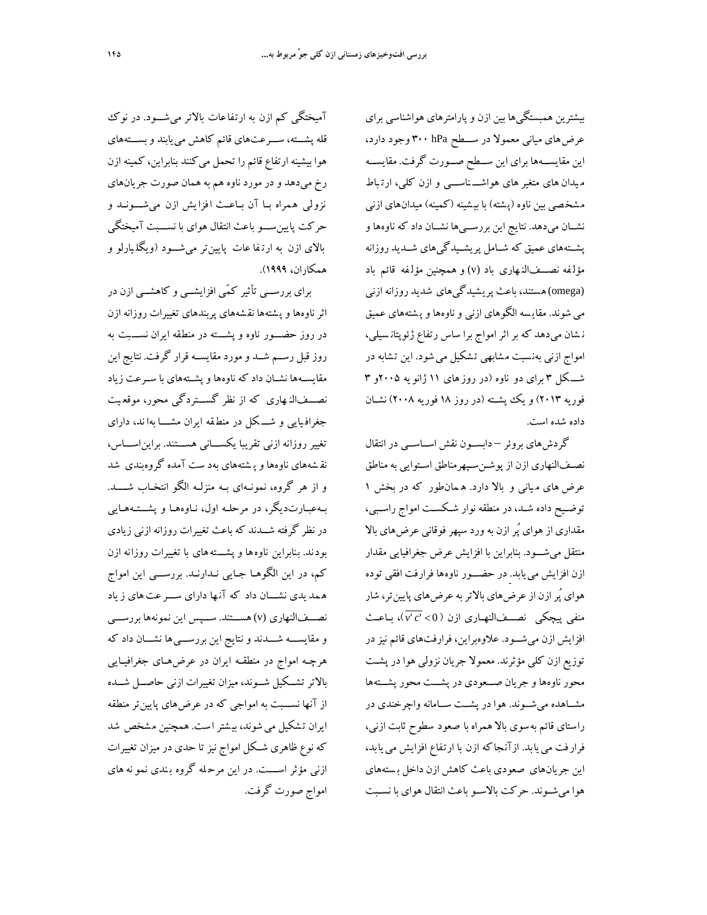بيشترين همبستگيها بين ازن وپارامترهاي هواشناسي براي عرضهاي مياني معمولا در ســـطح hPa 300 وجود دارد، اين مقايســهها براي اين ســطح صــورت گرفت. مقايســه م يدان هاي متغير هاي هواشـــ ناســـي و ازن كلي، ارت باط مشخصي بين ناوه (پ شته) با بي شينه (كمينه) ميدانهاي ازني نشــان ميدهد. نتايج اين بررســيها نشــان داد كه ناوهها و پشــتههاي عميق كه شــامل پريشــيدگيهاي شــديد روزانه مؤلفه نصـــفالنـهاري باد (v) و همچنين مؤلفه قائم باد (omega(هستند، باعث پريشيدگيهاي شديد روزانه ازني مي شوند. مقايسه الگوهاي ازني و ناوهها و پشتههاي عميق ن شان ميدهد كه بر اثر امواج برا ساس رتفاع ژئوپتان سيلي، امواج ازني بهنسبت مشابهي تشكيل مي شود. اين تشابه در شـــكل 3 براي دو ناوه (در روز هاي 11 ژانو يه 2005و 3 فوريه 2013) و يك پشــته (در روز 18 فوريه 2008) نشــان داده شده است.

گردشهاي بروئر – دابســون نقش اســاســي در انتقال نصـفالنهاري ازن از پوشـنسـپهرمناطق اسـتوايي به مناطق عرض هاي م ياني و بالا دارد. ه مانطور كه در بخش 1 توضـيح داده شـد، در منطقه نوار شـكسـت امواج راسـبي، مقداري از هواي پُر ازن به ورد سپهر فوقاني عرضهاي بالا منتقل ميشـــود. بنابراين با افزايش عرض جغرافيايي مقدار ازن افزايش مييابد. در حضـــور ناوهها فرارفت افقي توده هواي پُرازن ازعرضهاي بالاتربه عرضهاي پايينتر، شار منفي پيچكي نصـــفالنهـاري ازن ( v<sup>. c'</sup> c')، بـاعـث افزايش ازن ميشـــود. علاوهبراين، فرارفتهاي قائم نيزدر توزيع ازن كلي مؤثرند. معمولا جريان نزولي هوا در پشـت محور ناوهها و جريان صـــعودي در پشـــت محور پشـــتهها مشــاهده ميشــوند. هوا در پشــت ســامانه واچرخندي در راستاي قائم بهسوي بالا همراه با صعود سطوح ثابت ازني، فرارفت مييابد. ازآن جاكه ازن با ارتفاع افزايش مييابد، اين جريانهاي صعودي باعث كاهش ازن داخل ب ستههاي هوا ميشــوند. حركت بالاســو باعث انتقال هواي با نســبت

آميختگي كم ازن به ارتفاعات بالاتر ميشـــود. در نوك قله پشـــته، ســـرعتهاي قائم كاهش مييابند وبســـتههاي هوا بيشينه ارتفاع قائم را تحمل ميكنند بنابراين، كمينه ازن رخ ميدهد و در مورد ناوه هم به همان صورت جريانهاي نزولي همراه بــا آن بــاعــث ا فزا يش ازن ميشـــونــد و حركت پايينســـو باعث انتقال هواي با نســـبت آميختگي بالاي ازن به ارت فا عات پايينتر ميشـــود (ويگل يارلو و همكاران، 1999).

براي بررســي تأثير كمّي افزايشــي و كاهشــي ازن در اثر ناوهها و پشتهها نقشههاي پربندهاي تغييرات روزانه ازن در روز حضـــور ناوه و پشـــته در منطقه ايران نســـبت به روز قبل رســم شــد ومورد مقايســه قرار گرفت. نتايج اين مقايســهها نشــان داد كه ناوهها وپشــتههاي با ســرعت زياد نصـــفالن هاري كه از نظر گســـتردگي محور، موقع يت جغراف يايي و شـــ كل در منط قه ايران مشــــا بها ند، داراي تغيير روزانه ازني تقريبا يكســـاني هســـتند. برايناســـاس، نق شههاي ناوهها وپ شتههاي بهد ست آمده گروهبندي شد و از هر گروه، نمونـهاي بـه منزلــه الگو انتخـاب شــــد. بـهعبـارتديگر، در مرحلـه اول، نـاوههـا و پشـــتـههـايي در نظر گرفته شــدند كه باعث تغييرات روزانه ازني زيادي بودند. ب نابراين ناوهها و پشـــتههاي با تغييرات روزانه ازن كم، در اين الگوهـا جـايي نـدارنـد. بررســـي اين امواج ه مد يدي نشـــان داد كه آن ها داراي ســـر عتهاي ز ياد نصـــفالنهاري (v (هســـتند. ســـپس اين نمونهها بررســـي و مقايســـه شـــدند و نتايج اين بررســـيها نشـــان داد كه هرچـه امواج در منطقـه ايران در عرضهـاي جغرافيـايي بالاترتشــكيل شــوند، ميزان تغييرات ازني حاصــل شــده از آنها نســـبت به امواجي كه در عرضهاي پايينتر منطقه ايران تشكيل مي شوند، بيشتر است. همچنين مشخص شد كه نوع ظاهري شــكل امواج نيزتا حدي در ميزان تغييرات ازني مؤثر اســــت. در اين مرح له گروه ب ندي نمو نههاي امواج صورت گرفت.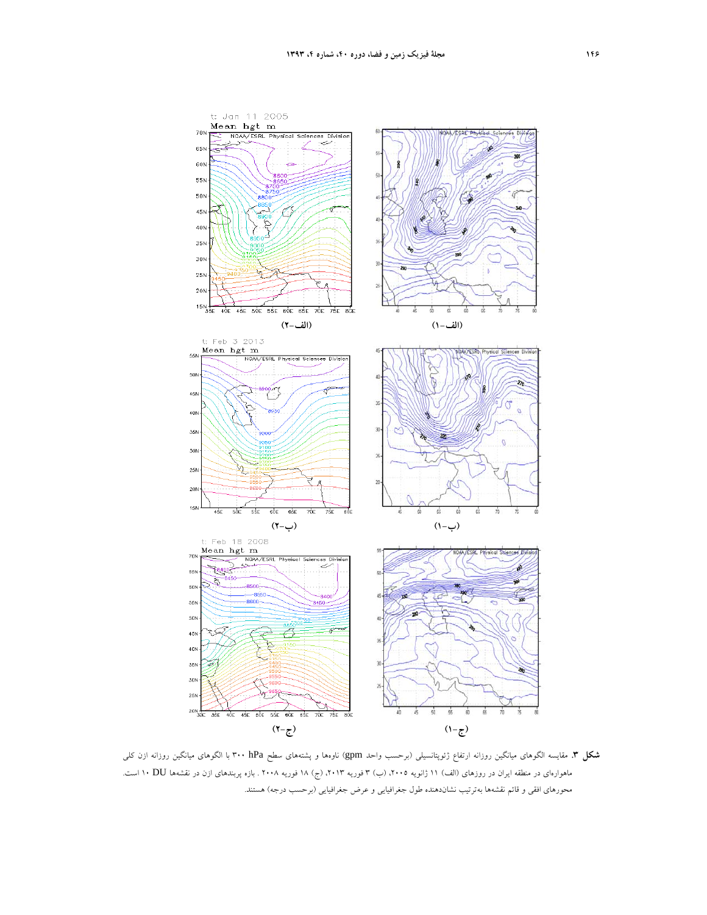

**شكل .3** مقايسه الگوهاي ميانگين روزانه ارتفاع ژئوپتانسيلي (برحسب واحد gpm (ناوهها و پشتههاي سطح hPa 300 با الگوهاي ميانگين روزانه ازن كلي ماهوارهاي در منطقه ايران در روزهاي (الف) 11 ژانويه ،2005 (ب) 3 فوريه ،2013 (ج) 18 فوريه 2008 . بازه پربندهاي ازن در نقشهها DU 10 است. محورهاي افقي و قائم نقشهها بهترتيب نشاندهنده طول جغرافيايي و عرض جغرافيايي (برحسب درجه) هستند.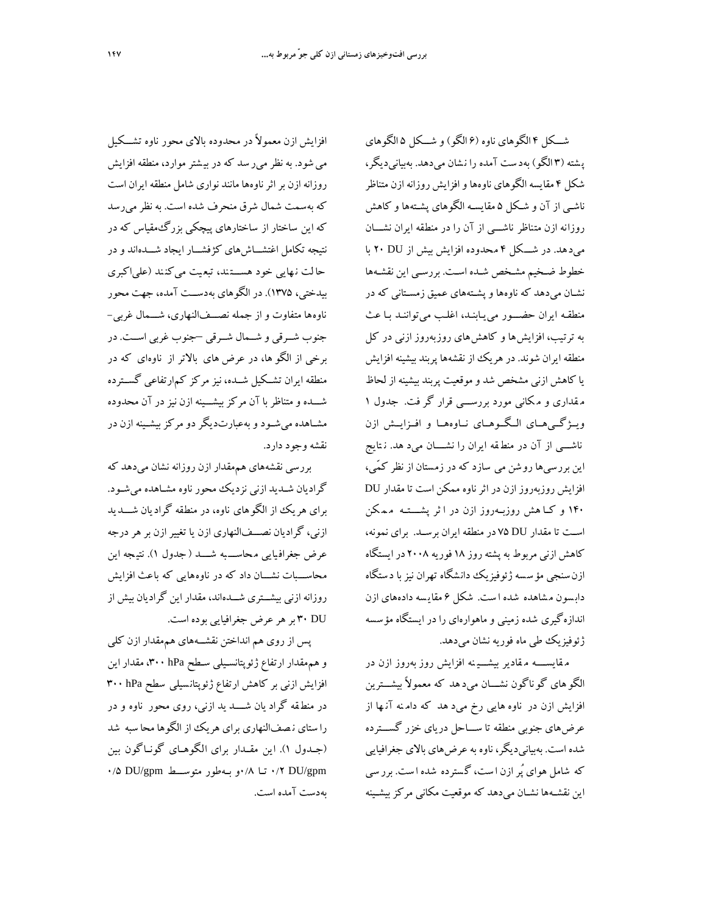افزايش ازن معمولاً در محدوده بالاي محور ناوه تشـــكيل ميشود. به نظر مير سد كه در بي شتر موارد، منطقه افزايش روزانه ازن براثرناوهها مانند نواري شامل منطقه ايران است كه بهسمت شمال شرق منحرف شده است. به نظرميرسد كه اين ساختار از ساختارهاي پيچكي بزرگمقياس كه در نتيجه تكامل اغتشـــاشهاي كژفشـــار ايجاد شـــدهاند و در حا لت ن هايي خود هســـت ند، تبع يت ميكن ند (علياكبري بيدختي، 1375). در الگوهاي بهدســت آمده، جهت محور ناوهها متفاوت و از جمله نصـــفالنهاري، شـــمال غربي- جنوب شــرقي و شــمال شــرقي –جنوب غربي اســت. در برخي از الگو ها، در عرض هاي بالاتر از ناوهاي كه در منطقه ايران تشــكيل شــده، نيزمركز كمارتفاعي گســترده شـــده ومتناظر با آن مركز بيشـــينه ازن نيز در آن محدوده مشــاهده ميشــود وبهعبارتديگر دومركز بيشــينه ازن در نقشه وجود دارد. بررسي نقشههاي هممقدار ازن روزانه نشان ميدهد كه

گراديان شـديد ازني نزديك محور ناوه مشـاهده ميشـود. براي هريك از الگوهاي ناوه، در منطقه گراديان شـــديد ازني، گراديان نصـــفالنهاري ازن يا تغيير ازن برهر درجه عرض جغرافيايي محاســــبه شــــد (جدول ١). نتيجه اين محاســـبات نشـــان داد كه در ناوههايي كه باعث افزايش روزانه ازني بيشـــتري شـــدهاند، مقدار اين گراديان بيش از DU 30 برهر عرض جغرافيايي بوده است.

پس از روي هم انداختن نقشــههاي هممقدار ازن كلي وهممقدار ارتفاع ژئوپتانسـيلي سـطح hPa ،300 مقدار اين افزايش ازني بر كاهش ارتفاع ژئوپتانسيلي سطح ۳۰۰ <del>۱</del>۳ در منط قه گراد يان شــــد يد ازني، روي محور ناوه و در را ستاي ن صفالنهاري براي هريك از الگوها محا سبه شد (جــدول 1). اين مقــدار براي الگوهــاي گونــاگون بين gpm/DU 0/2 تـا 0/8و بـهطور متوســـط gpm/DU 0/5 بهدست آمده است.

شـــكل 4 الگوهاي ناوه (6 الگو) و شـــكل 5 الگوهاي پ شته (3 الگو) بهد ست آمده را ن شان ميدهد. بهبيانيديگر، شكل 4 مقايسه الگوهاي ناوهها وافزايش روزانه ازن متناظر ناشـي از آن و شـكل 5 مقايسـه الگوهاي پشـتهها و كاهش روزانه ازن متناظر ناشـــي از آن را در منطقه ايران نشـــان ميدهد. در شـــكل 4 محدوده افزايش بيش از DU 20 با خطوط ضـخيم مشـخص شـده اسـت. بررسـي اين نقشـهها نشـان ميدهد كه ناوهها وپشـتههاي عميق زمسـتاني كه در منطقـه ايران حضـــور مييـابنـد، اغلـب ميتواننـد بـا عث به ترتيب، افزايشها و كاهشهاي روزبهروز ازني در كل منطقه ايران شوند. در هريك از نقشهها پربند بيشينه افزايش يا كاهش ازني مشخص شد وموقعيت پربند بيشينه از لحاظ م قداري و م كاني مورد بررســـي قرار گر فت. جدول 1 ويــژگــيهــاي الــگــوهــاي نــاوههــا و افــزايــش ازن ناشـــي از آن در منط قه ايران را نشــــان ميد هد. ن تايج اين بررسيها روشن مي سازد كه در زمستان از نظر كمّي، افزايش روزبهروز ازن در اثرناوه ممكن است تا مقدار DU 140 و كــا هش روزبــهروز ازن در ا ثر پشــــتــه م م كن اســت تا مقدار DU 75 در منطقه ايران برســد. براي نمونه، كاهش ازني مربوط بهپشتهروز 18 فوريه 2008 درايستگاه ازن سنجي مؤسسه ژئوفيزيك دانشگاه تهران نيز با دستگاه دابسون مشاهده شده است. شكل ۶ مقايسه دادههاي ازن اندازهگيري شده زميني وماهوارهاي را در ايستگاه مؤسسه ژئوفيزيك طي ماه فوريه نشان ميدهد.

م قايســــه م قادير بيشـــي نه افزايش روز بهروز ازن در الگو هاي گو ناگون نشـــان ميد هد كه معمولاً بيشـــترين افزايش ازن در ناوه هايي رخ ميد هد كه دام نه آن ها از عرضهاي جنوبي منطقه تا ســـاحل درياي خزر گســـترده شده است. بهبيانيديگر، ناوه به عرضهاي بالاي جغرافيايي كه شامل هواي پُر ازن ا ست، گسترده شده ا ست. برر سي اين نقشـهها نشـان ميدهد كه موقعيت مكاني مركز بيشـينه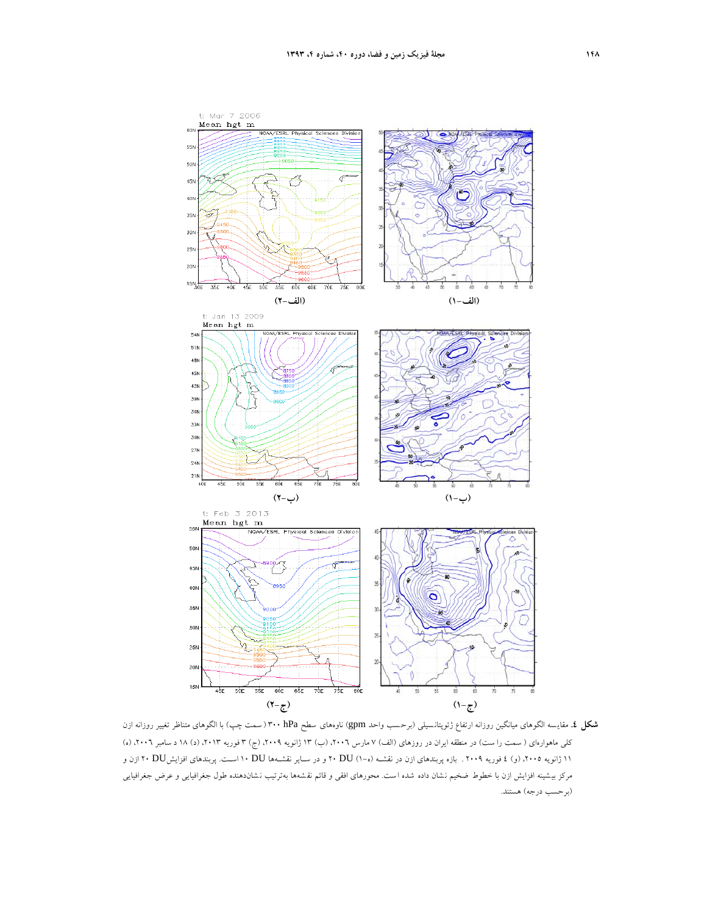

**شكل <sup>2</sup>.** مقايسه الگوهاي ميانگين روزانه ارتفاع ژئوپتانسيلي (برحسب واحد gpm) ناوههاي سطح n+Pa (سمت چپ) با الگوهاي متناظر تغيير روزانه ازن كلي ماهوارهاي ( سمت را ست) در منطقه ايران در روزهاي (الف) ۷ مارس ۲۰۰۲، (ب) ۱۳ ژانويه ۲۰۰۹، (ج) ۳ فوريه ۲۰۱۳، (د) ۱۸ د سامبر ۲۰۰۲، (ه) 11 ژانويه ،2005 (و) 4 فوريه 2009 . بازه پربندهاي ازن در نقشـه (ه1-) DU 20 و در سـاير نقشـهها DU 10 اسـت. پربندهاي افزايشDU 20 ازن و مركز بيشينه افزايش ازن با خطوط ضخيم نشان داده شده است. محورهاي افقي و قائم نقشهها بهترتيب نشاندهنده طول جغرافيايي و عرض جغرافيايي (برحسب درجه) هستند.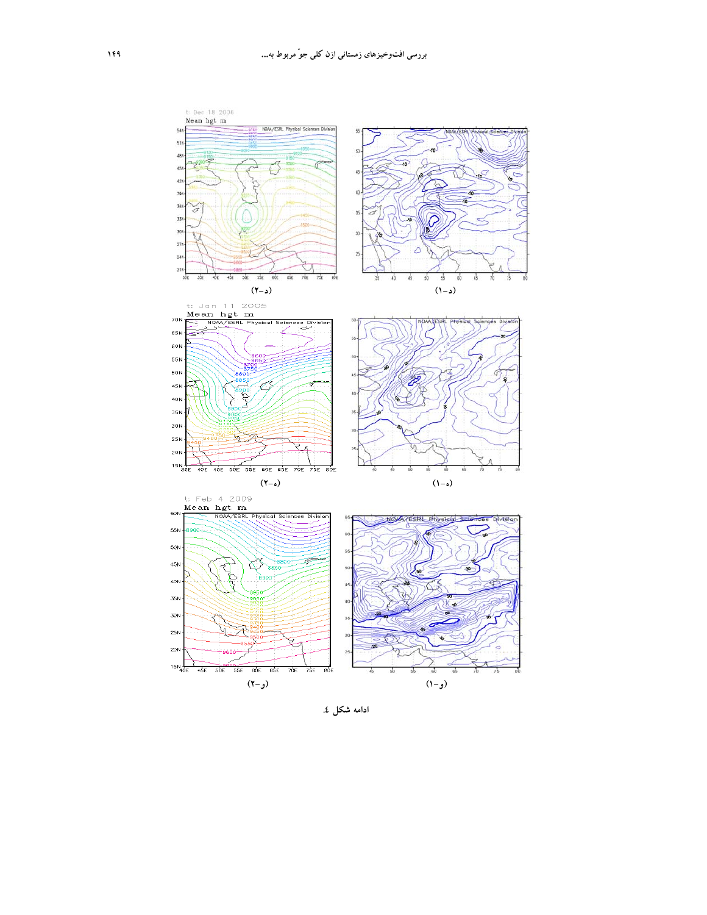

**ادامه شكل .4**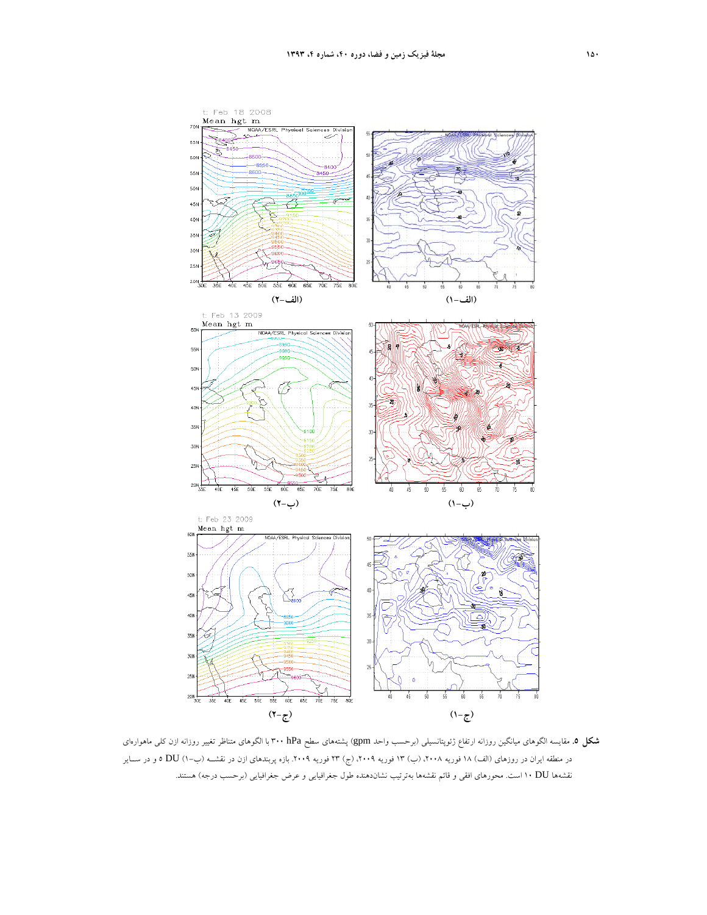

**شكل .5** مقايسه الگوهاي ميانگين روزانه ارتفاع ژئوپتانسيلي (برحسب واحد gpm (پشتههاي سطح hPa 300 با الگوهاي متناظر تغيير روزانه ازن كلي ماهوارهاي در منطقه ايران در روزهاي (الف) 18 فوريه ،2008 (ب) 13 فوريه ،2009 (ج) 23 فوريه .2009 بازه پربندهاي ازن در نقشــه (ب1-) DU 5 و در ســاير نقشهها DU <sup>10</sup> است. محورهاي افقي <sup>و</sup> قائم نقشهها بهترتيب نشاندهنده طول جغرافيايي <sup>و</sup> عرض جغرافيايي (برحسب درجه) هستند.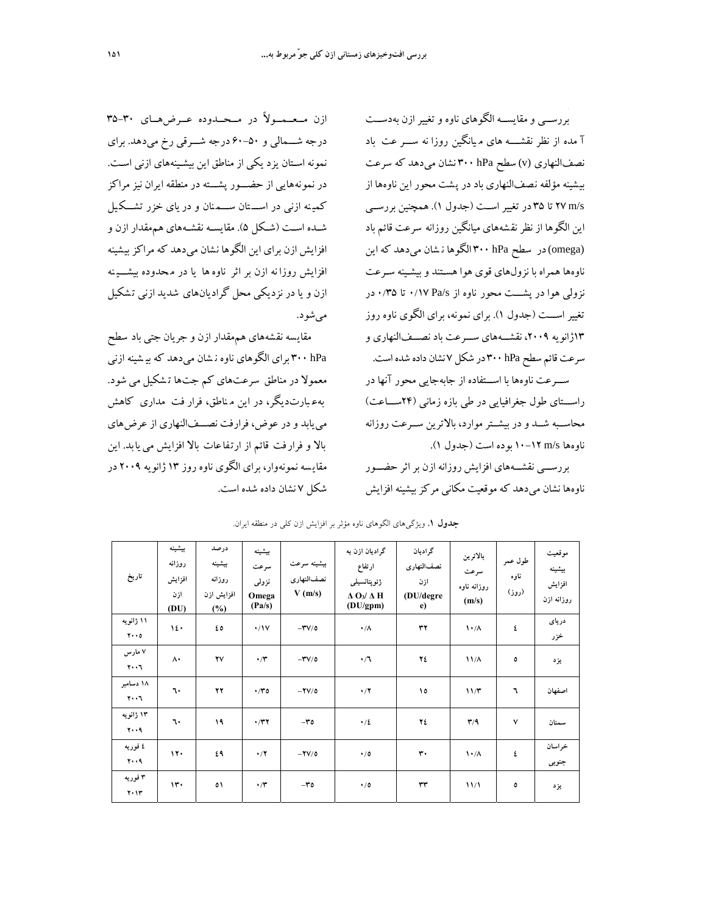بررســي ومقايســه الگوهاي ناوه وتغيير ازن بهدســت آ مده از نظر نقشــــه هاي م يانگين روزا نه ســـر عت باد نصفالنهاري (v (سطح hPa 300 نشان ميدهد كه سرعت بيشينه مؤلفه نصفالنهاري باد در پشت محور اين ناوهها از s/m 27 تا 35 در تغيير اســت (جدول 1). همچنين بررســي اين الگوها از نظرنق شههاي ميانگين روزانه سرعت قائم باد (omega(در سطح hPa 300 الگوها ن شان ميدهد كه اين ناوهها همراه با نزولهاي قوي هوا هسـتند و بيشـينه سـرعت نزولي هوا در پشـــت محور ناوه از ۰/۱۷ Pa/s تا ۰/۳۵ در تغيير اســـت (جدول 1). براي نمونه، براي الگوي ناوه روز 13ژانويه ،2009 نقشـــههاي ســـرعت باد نصـــفالنهاري و سرعت قائم سطحhPa 300 در شكل7 نشان داده شدهاست.

ســـرعت ناوهها با اســـتفاده از جابهجايي محور آنها در راســـتاي طول جغرافيايي در طي بازه زماني (24ســـاعت) محاســبه شــد و در بيشــترموارد، بالاترين ســرعت روزانه ناوهها s/m 10-12 بوده است (جدول 1).

بررســـي نقشـــههاي افزايش روزانه ازن بر اثر حضـــور ناوهها نشان ميدهد كه موقعيت مكاني مركزبيشينه افزايش

ازن مــعــمــولاً در مــحــدوده عــرضهــاي 35-30 درجه شـــمالي و 60-50 درجه شـــرقي رخ ميدهد. براي نمونه اسـتان يزد يكي از مناطق اين بيشـينههاي ازني اسـت. در نمونههايي از حضـــور پشـــته در منطقه ايران نيز مراكز كمينه ازني در اســـتان ســـمنان و در ياي خزر تشــكيل شــده اســت (شــكل 5). مقايســه نقشــههاي هممقدار ازن و افزايش ازن براي اين الگوها نشان ميدهد كه مراكز بيشينه افزايش روزا نه ازن بر اثر ناوهها يا در م حدوده بيشـــي نه ازن ويا در نزديكي محل گراديانهاي شديد ازني ت شكيل ميشود.

مقايسه نقشههاي هممقدار ازن و جريان جتي باد سطح hPa 300 براي الگوهاي ناوه ن شان ميدهد كه بي شينه ازني معمولا در مناطق سرعتهاي كم جتها ت شكيل مي شود. بهع بارتديگر، در اين م ناطق، فرار فت مداري كاهش مييابد و در عوض، فرارفت نصـــفالنهاري از عرضهاي بالا و فرار فت قائم از ارتفاعات بالا افزايش مييابد. اين مقاي سه نمونهوار، براي الگوي ناوه روز 13 ژانويه 2009 در شكل 7 نشان داده شده است.

| تاريخ                                      | بيشينه<br>روزانه<br>افزايش<br>ازن<br>(DU) | درصد<br>بيشينه<br>روزانه<br>افزايش ازن<br>$(\%)$ | بيشينه<br>سرعت<br>نزولى<br>Omega<br>(Pa/s) | بيشينه سرعت<br>نصف النهارى<br>V(m/s) | گرادیان ازن به<br>ارتفاع<br>ژئويتانسيلى<br>$\Delta$ O <sub>3</sub> / $\Delta$ H<br>(DU/gpm) | گر ادیان<br>نصف النهارى<br>ازن<br>(DU/degre<br>e) | بالاترين<br>سرعت<br>روزانه ناوه<br>(m/s) | طول عمر<br>ناوه<br>(روز) | موقعيت<br>بيشينه<br>افزايش<br>روزانه ازن |
|--------------------------------------------|-------------------------------------------|--------------------------------------------------|--------------------------------------------|--------------------------------------|---------------------------------------------------------------------------------------------|---------------------------------------------------|------------------------------------------|--------------------------|------------------------------------------|
| ۱۱ ژانویه<br>$Y \cdot \cdot 0$             | 12.                                       | ٤٥                                               | $\cdot/1V$                                 | $-YV/\circ$                          | $\cdot/\Lambda$                                                                             | $\mathbf{r}$                                      | $\mathcal{N} \cdot / \Lambda$            | ٤                        | درياى<br>خزر                             |
| ۷ مارس<br>$\mathbf{y} \cdot \mathbf{y}$    | $\Lambda$                                 | ۲٧                                               | $\cdot$ /۳                                 | $-YV/O$                              | $\cdot/7$                                                                                   | ٢٤                                                | $11/\lambda$                             | ٥                        | يزد                                      |
| ۱۸ دسامبر<br>$\mathbf{y} \cdot \mathbf{y}$ | ٦٠                                        | $\mathbf{Y}$                                     | $\cdot$ /۳٥                                | $-YV/O$                              | $\cdot/7$                                                                                   | ١٥                                                | 11/T                                     | ٦                        | اصفهان                                   |
| ۱۳ ژانویه<br>$Y \cdot A$                   | ٦٠                                        | ۱۹                                               | $\cdot$ /۳۲                                | $-\mathbf{r}$                        | $\cdot/2$                                                                                   | ٢٤                                                | $\mathbf{r}/\mathbf{q}$                  | $\checkmark$             | سمنان                                    |
| ٤ فوريه<br>$Y \cdot A$                     | 11.                                       | ٤٩                                               | $\cdot/7$                                  | $-YV/O$                              | $\cdot/0$                                                                                   | $\mathbf{r}$                                      | $\lambda \cdot / \Lambda$                | ٤                        | خر اسان<br>جنوبي                         |
| ۳ فوریه<br>$Y \cdot Y$                     | $\mathcal{W}$                             | ٥١                                               | $\cdot$ /۳                                 | $-\mathbf{r}$                        | $\cdot/0$                                                                                   | $\mathsf{r}\mathsf{r}$                            | 11/1                                     | ٥                        | يزد                                      |

**جدول .1** ويژگيهاي الگوهاي ناوه مؤثر بر افزايش ازن كلي در منطقه ايران.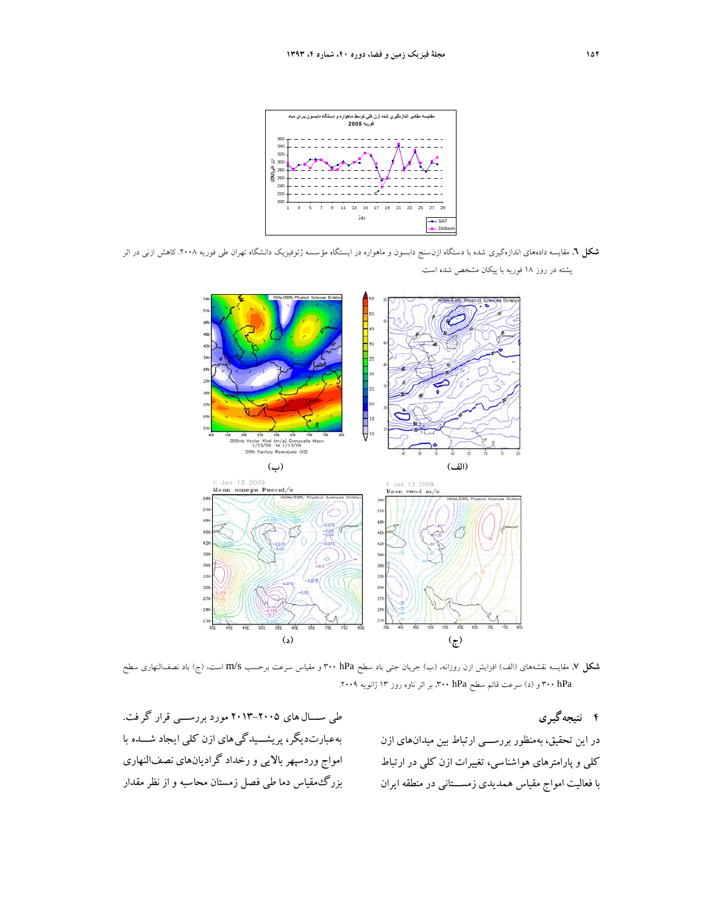

**شكل .6** مقايسه دادههاي اندازهگيري شده با دستگاه ازنسنج دابسون و ماهواره در ايستگاه مؤسسه ژئوفيزيك دانشگاه تهران طي فوريه .2008 كاهش ازني در اثر پشته در روز 18 فوريه با پيكان مشخص شده است.



**شكل .7** مقايسه نقشههاي (الف) افزايش ازن روزانه، (ب) جريان جتي باد سطح hPa 300 و مقياس سرعت برحسب s/m است، (ج) باد نصفالنهاري سطح hPa <sup>300</sup> <sup>و</sup> (د) سرعت قائم سطح hPa ،<sup>300</sup> بر اثر ناوه روز <sup>13</sup> ژانويه .2009

**4 نتيجهگيري** 

در اين تحقيق، بهمنظور بررســـي ارتباط بين ميدانهاي ازن كلي وپارامترهاي هواشناسي، تغييرات ازن كلي در ارتباط با فعاليت امواج مقياس همديدي زمســـتاني در منطقه ايران

طي ســـال هاي 2013-2005 مورد بررســـي قرار گر فت. بهعبارتديگر، پريشـــيدگيهاي ازن كلي ايجاد شـــده با امواج وردسپهر بالايي ورخداد گراديانهاي نصفالنهاري بزرگ مقياس دما طي فصل زمستان محاسبه و از نظر مقدار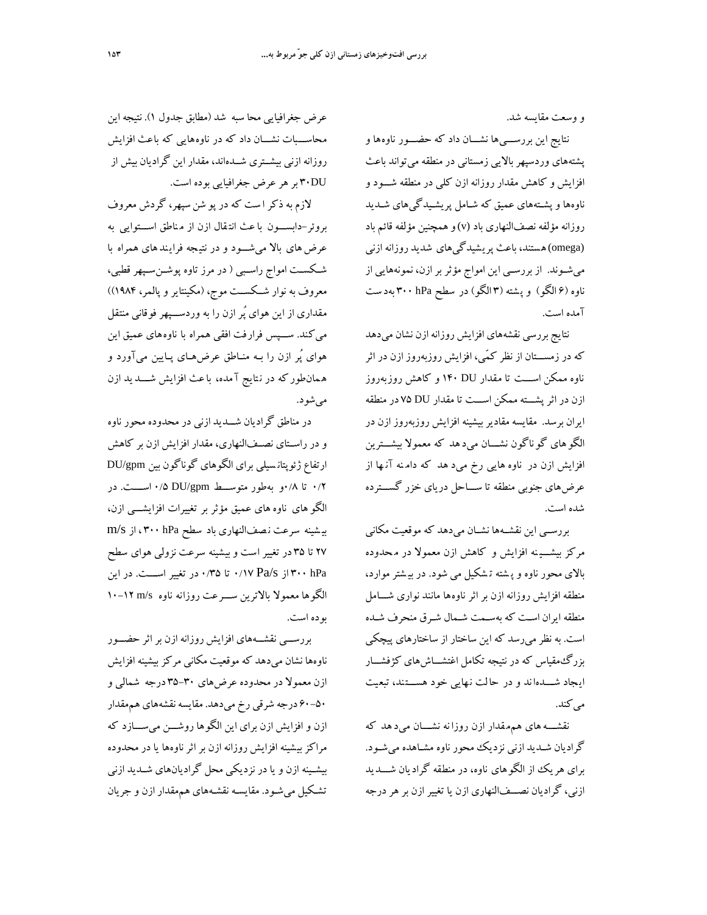و وسعت مقايسه شد.

نتايج اين بررســـيها نشـــان داد كه حضـــور ناوهها و پشتههاي وردسپهر بالايي زمستاني در منطقه ميتواند باعث افزايش و كاهش مقدار روزانه ازن كلي در منطقه شـــود و ناوهها وپشـتههاي عميق كه شـامل پريشـيدگيهاي شـديد روزانه مؤلفه نصفالنهاري باد(v(وهمچنين مؤلفه قائم باد (omega(هستند، باعث پريشيدگيهاي شديد روزانه ازني ميشــوند. از بررســي اين امواج مؤثر بر ازن، نمونههايي از ناوه (6 الگو) وپ شته (3 الگو) در سطح hPa 300 بهد ست آمده است.

نتايج بررسي نقشههاي افزايش روزانهازن نشان ميدهد كه در زمســـتان از نظر كمّي، افزايش روزبهروز ازن در اثر ناوه ممكن اســـت تا مقدار DU 140 و كاهش روزبهروز ازن در اثرپشـــته ممكن اســـت تا مقدار DU 75 در منطقه ايران برسد. مقايسه مقاديربيشينه افزايش روزبهروز ازن در الگو هاي گو ناگون نشـــان ميد هد كه معمولا بيشـــترين افزايش ازن در ناوه هايي رخ ميد هد كه دام نه آن ها از عرضهاي جنوبي منطقه تا ســـاحل درياي خزر گســـترده شده است.

بررســي اين نقشــهها نشــان ميدهد كه موقعيت مكاني مركز بيشـــي نه افزايش و كاهش ازن معمولا در م حدوده بالاي محور ناوه وپ شته ت شكيل مي شود. در بي شترموارد، منطقه افزايش روزانه ازن بر اثر ناوهها مانند نواري شـــامل منطقه ايران اسـت كه بهسـمت شـمال شـرق منحرف شـده است. به نظرميرسد كه اين ساختار از ساختارهاي پيچكي بزرگمقياس كه در نتيجه تكامل اغتشـــاشهاي كژفشـــار ايجاد شـــدها ند و در حالت ن هايي خود هســـتند، تبع يت مي كند.

نقشـــههاي هممقدار ازن روزا نه نشـــان ميد هد كه گراديان شـديد ازني نزديك محور ناوه مشـاهده ميشـود. براي هريك از الگوهاي ناوه، در منطقه گراديان شـــديد ازني، گراديان نصـــف|لنهاري ازن يا تغيير ازن بر هر درجه

عرض جغرافيايي محا سبه شد (مطابق جدول 1). نتيجه اين محاســـبات نشـــان داد كه در ناوههايي كه باعث افزايش روزانه ازني بيشــتري شــدهاند، مقدار اين گراديان بيش از DU30 بر هر عرض جغرافيايي بوده است.

لازم به ذكر ا ست كه در پو شن سپهر، گردش معروف بروئر-دابســـون با عث انت قال ازن از م ناطق اســـتوايي به عرض هاي بالا مي شـــود و در نتيجه فرايندهاي همراه با شــكســت امواج راســبي ( در مرز تاوه پوشــنســپهر قطبي، معروف به نوار شــكســت موج، (مكينتاير وپالمر، 1984)) مقداري از اين هواي پُر ازن را به وردســـپهر فوقاني منتقل ميكند. ســـپس فرارفت افقي همراه با ناوههاي عميق اين هواي پُر ازن را بـه منـاطق عرضهـاي پـايين ميآورد و ه مانطوركه در ن تايج آ مده، باعث افزايش شـــديد ازن ميشود.

در مناطق گراديان شـــديد ازني در محدوده محور ناوه و در راســتاي نصــفالنهاري، مقدار افزايش ازن بر كاهش ارتفاع ژئوپتان سيلي براي الگوهاي گوناگون بين gpm/DU 0/2 تا 0/8و بهطور متوســـط gpm/DU 0/5 اســــت. در الگو هاي ناوههاي عميق مؤثر بر تغييرات افزايشـــي ازن، بي شينه سرعت ن صفالنهاري باد سطح hPa 300 ، از s/m 27 تا 35 در تغيير است وبيشينه سرعت نزولي هواي سطح hPa 300 از s/Pa 0/17 تا 0/35 در تغيير اســـت. در اين الگوها معمولا بالاترين ســـرعت روزانه ناوه s/m 10-12 بوده است.

بررســـي نقشـــههاي افزايش روزانه ازن بر اثر حضـــور ناوهها نشان ميدهد كه موقعيت مكاني مركزبيشينه افزايش ازن معمولا در محدوده عرضهاي 35-30 درجه شمالي و 60-50 درجه شرقي رخ ميدهد. مقايسهنقشههاي هممقدار ازن و افزايش ازن براي اين الگوها روشـــن ميســـازد كه مراكز بيشينه افزايش روزانه ازن براثرناوهها يا در محدوده بيشــينه ازن ويا در نزديكي محل گراديانهاي شــديد ازني تشـكيل ميشـود. مقايسـه نقشـههاي هممقدار ازن و جريان